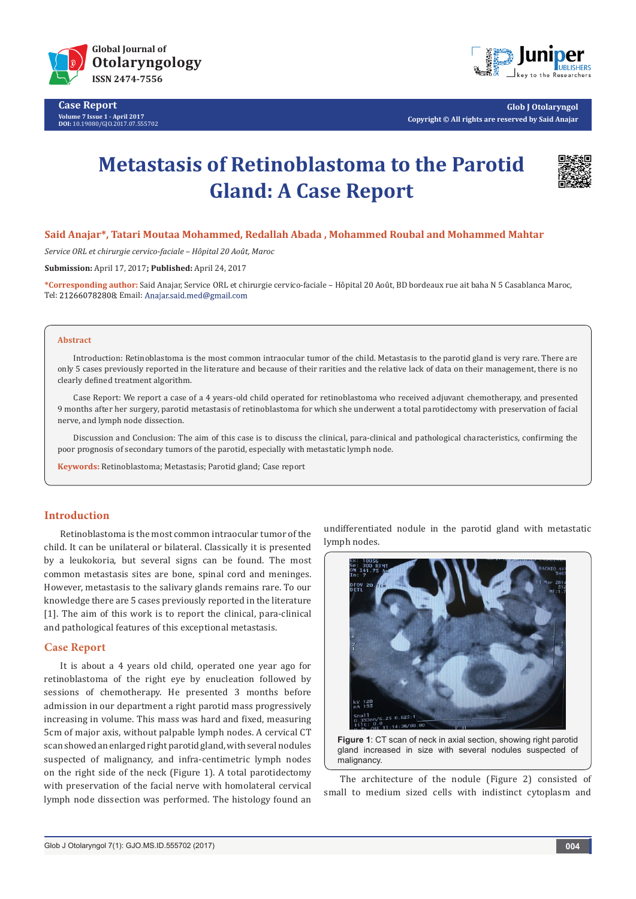

**Case Report Volume 7 Issue 1 - April 2017 DOI:** [10.19080/GJO.2017.07.555702](http://dx.doi.org/10.19080/GJO.2017.07.555702
)



**Glob J Otolaryngol Copyright © All rights are reserved by Said Anajar**

# **Metastasis of Retinoblastoma to the Parotid Gland: A Case Report**



### **Said Anajar\*, Tatari Moutaa Mohammed, Redallah Abada , Mohammed Roubal and Mohammed Mahtar**

*Service ORL et chirurgie cervico-faciale – Hôpital 20 Août, Maroc*

**Submission:** April 17, 2017**; Published:** April 24, 2017

**\*Corresponding author:** Said Anajar, Service ORL et chirurgie cervico-faciale – Hôpital 20 Août, BD bordeaux rue ait baha N 5 Casablanca Maroc, Tel: 212660782808; Email: Anajar.said.med@gmail.com

#### **Abstract**

Introduction: Retinoblastoma is the most common intraocular tumor of the child. Metastasis to the parotid gland is very rare. There are only 5 cases previously reported in the literature and because of their rarities and the relative lack of data on their management, there is no clearly defined treatment algorithm.

Case Report: We report a case of a 4 years-old child operated for retinoblastoma who received adjuvant chemotherapy, and presented 9 months after her surgery, parotid metastasis of retinoblastoma for which she underwent a total parotidectomy with preservation of facial nerve, and lymph node dissection.

Discussion and Conclusion: The aim of this case is to discuss the clinical, para-clinical and pathological characteristics, confirming the poor prognosis of secondary tumors of the parotid, especially with metastatic lymph node.

**Keywords:** Retinoblastoma; Metastasis; Parotid gland; Case report

## **Introduction**

Retinoblastoma is the most common intraocular tumor of the child. It can be unilateral or bilateral. Classically it is presented by a leukokoria, but several signs can be found. The most common metastasis sites are bone, spinal cord and meninges. However, metastasis to the salivary glands remains rare. To our knowledge there are 5 cases previously reported in the literature [1]. The aim of this work is to report the clinical, para-clinical and pathological features of this exceptional metastasis.

# **Case Report**

It is about a 4 years old child, operated one year ago for retinoblastoma of the right eye by enucleation followed by sessions of chemotherapy. He presented 3 months before admission in our department a right parotid mass progressively increasing in volume. This mass was hard and fixed, measuring 5cm of major axis, without palpable lymph nodes. A cervical CT scan showed an enlarged right parotid gland, with several nodules suspected of malignancy, and infra-centimetric lymph nodes on the right side of the neck (Figure 1). A total parotidectomy with preservation of the facial nerve with homolateral cervical lymph node dissection was performed. The histology found an undifferentiated nodule in the parotid gland with metastatic lymph nodes.



**Figure 1**: CT scan of neck in axial section, showing right parotid gland increased in size with several nodules suspected of malignancy.

The architecture of the nodule (Figure 2) consisted of small to medium sized cells with indistinct cytoplasm and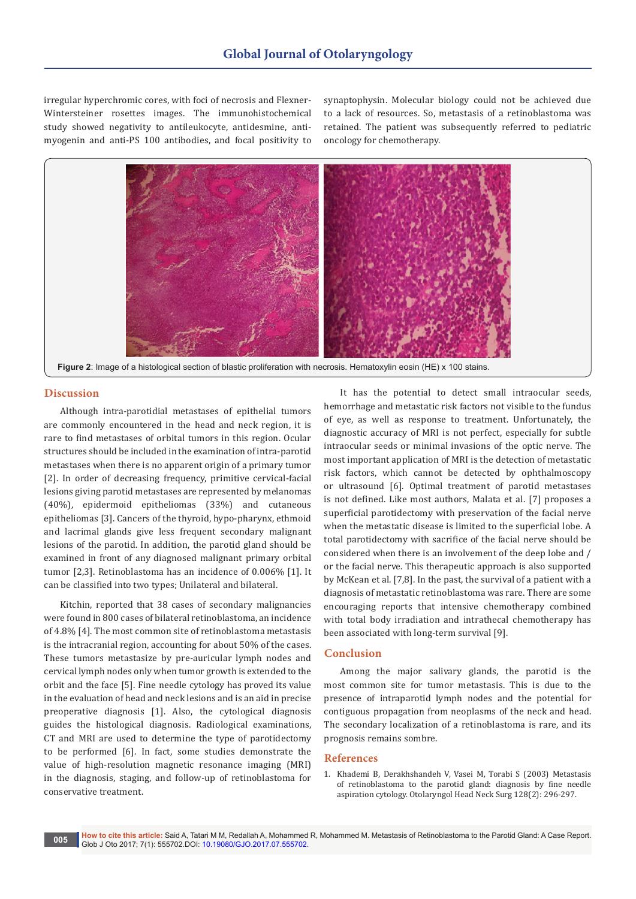irregular hyperchromic cores, with foci of necrosis and Flexner-Wintersteiner rosettes images. The immunohistochemical study showed negativity to antileukocyte, antidesmine, antimyogenin and anti-PS 100 antibodies, and focal positivity to

synaptophysin. Molecular biology could not be achieved due to a lack of resources. So, metastasis of a retinoblastoma was retained. The patient was subsequently referred to pediatric oncology for chemotherapy.



# **Discussion**

Although intra-parotidial metastases of epithelial tumors are commonly encountered in the head and neck region, it is rare to find metastases of orbital tumors in this region. Ocular structures should be included in the examination of intra-parotid metastases when there is no apparent origin of a primary tumor [2]. In order of decreasing frequency, primitive cervical-facial lesions giving parotid metastases are represented by melanomas (40%), epidermoid epitheliomas (33%) and cutaneous epitheliomas [3]. Cancers of the thyroid, hypo-pharynx, ethmoid and lacrimal glands give less frequent secondary malignant lesions of the parotid. In addition, the parotid gland should be examined in front of any diagnosed malignant primary orbital tumor [2,3]. Retinoblastoma has an incidence of 0.006% [1]. It can be classified into two types; Unilateral and bilateral.

Kitchin, reported that 38 cases of secondary malignancies were found in 800 cases of bilateral retinoblastoma, an incidence of 4.8% [4]. The most common site of retinoblastoma metastasis is the intracranial region, accounting for about 50% of the cases. These tumors metastasize by pre-auricular lymph nodes and cervical lymph nodes only when tumor growth is extended to the orbit and the face [5]. Fine needle cytology has proved its value in the evaluation of head and neck lesions and is an aid in precise preoperative diagnosis [1]. Also, the cytological diagnosis guides the histological diagnosis. Radiological examinations, CT and MRI are used to determine the type of parotidectomy to be performed [6]. In fact, some studies demonstrate the value of high-resolution magnetic resonance imaging (MRI) in the diagnosis, staging, and follow-up of retinoblastoma for conservative treatment.

It has the potential to detect small intraocular seeds, hemorrhage and metastatic risk factors not visible to the fundus of eye, as well as response to treatment. Unfortunately, the diagnostic accuracy of MRI is not perfect, especially for subtle intraocular seeds or minimal invasions of the optic nerve. The most important application of MRI is the detection of metastatic risk factors, which cannot be detected by ophthalmoscopy or ultrasound [6]. Optimal treatment of parotid metastases is not defined. Like most authors, Malata et al. [7] proposes a superficial parotidectomy with preservation of the facial nerve when the metastatic disease is limited to the superficial lobe. A total parotidectomy with sacrifice of the facial nerve should be considered when there is an involvement of the deep lobe and / or the facial nerve. This therapeutic approach is also supported by McKean et al. [7,8]. In the past, the survival of a patient with a diagnosis of metastatic retinoblastoma was rare. There are some encouraging reports that intensive chemotherapy combined with total body irradiation and intrathecal chemotherapy has been associated with long-term survival [9].

# **Conclusion**

Among the major salivary glands, the parotid is the most common site for tumor metastasis. This is due to the presence of intraparotid lymph nodes and the potential for contiguous propagation from neoplasms of the neck and head. The secondary localization of a retinoblastoma is rare, and its prognosis remains sombre.

#### **References**

1. [Khademi B, Derakhshandeh V, Vasei M, Torabi S \(2003\) Metastasis](https://www.ncbi.nlm.nih.gov/pubmed/12601333)  [of retinoblastoma to the parotid gland: diagnosis by fine needle](https://www.ncbi.nlm.nih.gov/pubmed/12601333)  [aspiration cytology. Otolaryngol Head Neck Surg 128\(2\): 296-297.](https://www.ncbi.nlm.nih.gov/pubmed/12601333)